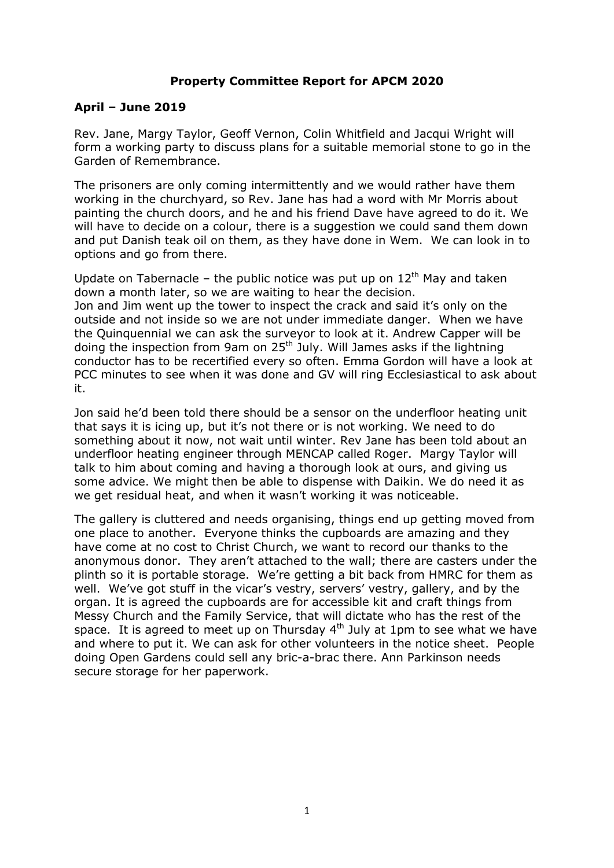#### **Property Committee Report for APCM 2020**

#### **April – June 2019**

Rev. Jane, Margy Taylor, Geoff Vernon, Colin Whitfield and Jacqui Wright will form a working party to discuss plans for a suitable memorial stone to go in the Garden of Remembrance.

The prisoners are only coming intermittently and we would rather have them working in the churchyard, so Rev. Jane has had a word with Mr Morris about painting the church doors, and he and his friend Dave have agreed to do it. We will have to decide on a colour, there is a suggestion we could sand them down and put Danish teak oil on them, as they have done in Wem. We can look in to options and go from there.

Update on Tabernacle – the public notice was put up on  $12<sup>th</sup>$  May and taken down a month later, so we are waiting to hear the decision. Jon and Jim went up the tower to inspect the crack and said it's only on the outside and not inside so we are not under immediate danger. When we have the Quinquennial we can ask the surveyor to look at it. Andrew Capper will be doing the inspection from 9am on 25<sup>th</sup> July. Will James asks if the lightning conductor has to be recertified every so often. Emma Gordon will have a look at PCC minutes to see when it was done and GV will ring Ecclesiastical to ask about it.

Jon said he'd been told there should be a sensor on the underfloor heating unit that says it is icing up, but it's not there or is not working. We need to do something about it now, not wait until winter. Rev Jane has been told about an underfloor heating engineer through MENCAP called Roger. Margy Taylor will talk to him about coming and having a thorough look at ours, and giving us some advice. We might then be able to dispense with Daikin. We do need it as we get residual heat, and when it wasn't working it was noticeable.

The gallery is cluttered and needs organising, things end up getting moved from one place to another. Everyone thinks the cupboards are amazing and they have come at no cost to Christ Church, we want to record our thanks to the anonymous donor. They aren't attached to the wall; there are casters under the plinth so it is portable storage. We're getting a bit back from HMRC for them as well. We've got stuff in the vicar's vestry, servers' vestry, gallery, and by the organ. It is agreed the cupboards are for accessible kit and craft things from Messy Church and the Family Service, that will dictate who has the rest of the space. It is agreed to meet up on Thursday  $4<sup>th</sup>$  July at 1pm to see what we have and where to put it. We can ask for other volunteers in the notice sheet. People doing Open Gardens could sell any bric-a-brac there. Ann Parkinson needs secure storage for her paperwork.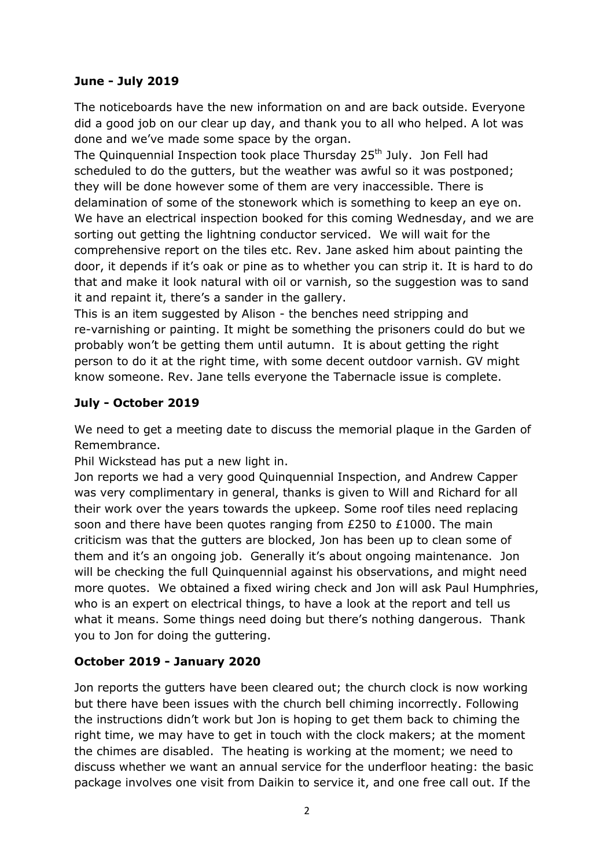### **June - July 2019**

The noticeboards have the new information on and are back outside. Everyone did a good job on our clear up day, and thank you to all who helped. A lot was done and we've made some space by the organ.

The Quinquennial Inspection took place Thursday 25<sup>th</sup> July. Jon Fell had scheduled to do the gutters, but the weather was awful so it was postponed; they will be done however some of them are very inaccessible. There is delamination of some of the stonework which is something to keep an eye on. We have an electrical inspection booked for this coming Wednesday, and we are sorting out getting the lightning conductor serviced. We will wait for the comprehensive report on the tiles etc. Rev. Jane asked him about painting the door, it depends if it's oak or pine as to whether you can strip it. It is hard to do that and make it look natural with oil or varnish, so the suggestion was to sand it and repaint it, there's a sander in the gallery.

This is an item suggested by Alison - the benches need stripping and re-varnishing or painting. It might be something the prisoners could do but we probably won't be getting them until autumn. It is about getting the right person to do it at the right time, with some decent outdoor varnish. GV might know someone. Rev. Jane tells everyone the Tabernacle issue is complete.

# **July - October 2019**

We need to get a meeting date to discuss the memorial plaque in the Garden of Remembrance.

Phil Wickstead has put a new light in.

Jon reports we had a very good Quinquennial Inspection, and Andrew Capper was very complimentary in general, thanks is given to Will and Richard for all their work over the years towards the upkeep. Some roof tiles need replacing soon and there have been quotes ranging from £250 to £1000. The main criticism was that the gutters are blocked, Jon has been up to clean some of them and it's an ongoing job. Generally it's about ongoing maintenance. Jon will be checking the full Quinquennial against his observations, and might need more quotes. We obtained a fixed wiring check and Jon will ask Paul Humphries, who is an expert on electrical things, to have a look at the report and tell us what it means. Some things need doing but there's nothing dangerous. Thank you to Jon for doing the guttering.

# **October 2019 - January 2020**

Jon reports the gutters have been cleared out; the church clock is now working but there have been issues with the church bell chiming incorrectly. Following the instructions didn't work but Jon is hoping to get them back to chiming the right time, we may have to get in touch with the clock makers; at the moment the chimes are disabled. The heating is working at the moment; we need to discuss whether we want an annual service for the underfloor heating: the basic package involves one visit from Daikin to service it, and one free call out. If the